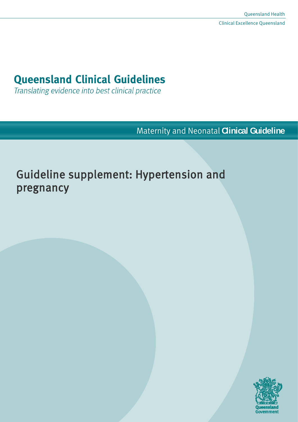# **Queensland Clinical Guidelines**

Translating evidence into best clinical practice

Maternity and Neonatal **Clinical Guideline**

# Guideline supplement: Hypertension and pregnancy

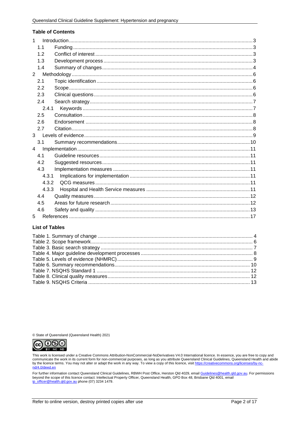#### **Table of Contents**

| $\mathbf{1}$   |       |  |  |
|----------------|-------|--|--|
|                | 1.1   |  |  |
|                | 1.2   |  |  |
|                | 1.3   |  |  |
|                | 1.4   |  |  |
| $\overline{2}$ |       |  |  |
|                | 2.1   |  |  |
|                | 2.2   |  |  |
|                | 2.3   |  |  |
|                | 2.4   |  |  |
|                | 2.4.1 |  |  |
|                | 2.5   |  |  |
|                | 2.6   |  |  |
|                | 2.7   |  |  |
| 3 <sup>1</sup> |       |  |  |
|                | 3.1   |  |  |
| $\overline{4}$ |       |  |  |
|                | 4.1   |  |  |
|                | 4.2   |  |  |
|                | 4.3   |  |  |
|                | 4.3.1 |  |  |
|                | 4.3.2 |  |  |
| 4.3.3          |       |  |  |
|                | 4.4   |  |  |
|                | 4.5   |  |  |
|                | 4.6   |  |  |
| 5              |       |  |  |

#### **List of Tables**

© State of Queensland (Queensland Health) 2021



This work is licensed under a Creative Commons Attribution-NonCommercial-NoDerivatives V4.0 International licence. In essence, you are free to copy and<br>communicate the work in its current form for non-commercial purposes,

For further information contact Queensland Clinical Guidelines, RBWH Post Office, Herston Qld 4029, email **Guidelines @health.qld.gov.au**. For permissions beyond the scope of this licence contact: Intellectual Property Off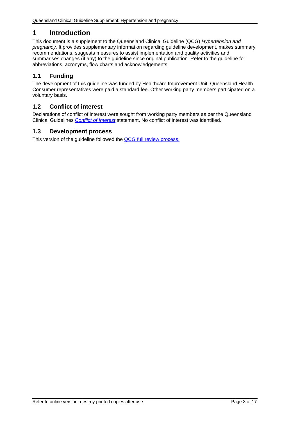## <span id="page-2-0"></span>**1 Introduction**

This document is a supplement to the Queensland Clinical Guideline (QCG) *Hypertension and pregnancy.* It provides supplementary information regarding guideline development, makes summary recommendations, suggests measures to assist implementation and quality activities and summarises changes (if any) to the guideline since original publication. Refer to the guideline for abbreviations, acronyms, flow charts and acknowledgements.

## <span id="page-2-1"></span>**1.1 Funding**

The development of this guideline was funded by Healthcare Improvement Unit, Queensland Health. Consumer representatives were paid a standard fee. Other working party members participated on a voluntary basis.

## <span id="page-2-2"></span>**1.2 Conflict of interest**

Declarations of conflict of interest were sought from working party members as per the Queensland Clinical Guidelines *[Conflict of Interest](http://www.health.qld.gov.au/qcg/development#coi)* statement. No conflict of interest was identified.

#### <span id="page-2-3"></span>**1.3 Development process**

This version of the guideline followed the [QCG full review process.](https://www.health.qld.gov.au/__data/assets/pdf_file/0025/364723/o-developprocess.pdf)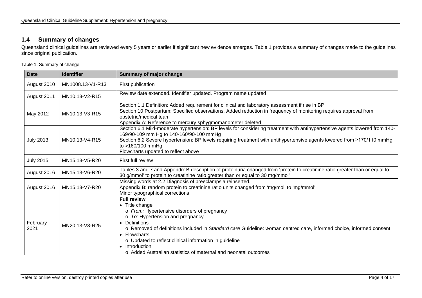## **1.4 Summary of changes**

Queensland clinical guidelines are reviewed every 5 years or earlier if significant new evidence emerges. [Table 1](#page-3-2) provides a summary of changes made to the guidelines since original publication.

<span id="page-3-2"></span>Table 1. Summary of change

<span id="page-3-1"></span><span id="page-3-0"></span>

| <b>Date</b>      | <b>Identifier</b> | <b>Summary of major change</b>                                                                                                                                                                                                                                                                                                                                                                                                            |
|------------------|-------------------|-------------------------------------------------------------------------------------------------------------------------------------------------------------------------------------------------------------------------------------------------------------------------------------------------------------------------------------------------------------------------------------------------------------------------------------------|
| August 2010      | MN1008.13-V1-R13  | First publication                                                                                                                                                                                                                                                                                                                                                                                                                         |
| August 2011      | MN10.13-V2-R15    | Review date extended. Identifier updated. Program name updated                                                                                                                                                                                                                                                                                                                                                                            |
| May 2012         | MN10.13-V3-R15    | Section 1.1 Definition: Added requirement for clinical and laboratory assessment if rise in BP<br>Section 10 Postpartum: Specified observations. Added reduction in frequency of monitoring requires approval from<br>obstetric/medical team<br>Appendix A: Reference to mercury sphygmomanometer deleted                                                                                                                                 |
| <b>July 2013</b> | MN10.13-V4-R15    | Section 6.1 Mild-moderate hypertension: BP levels for considering treatment with antihypertensive agents lowered from 140-<br>169/90-109 mm Hg to 140-160/90-100 mmHg<br>Section 6.2 Severe hypertension: BP levels requiring treatment with antihypertensive agents lowered from ≥170/110 mmHg<br>to >160/100 mmHg<br>Flowcharts updated to reflect above                                                                                |
| <b>July 2015</b> | MN15.13-V5-R20    | First full review                                                                                                                                                                                                                                                                                                                                                                                                                         |
| August 2016      | MN15.13-V6-R20    | Tables 3 and 7 and Appendix B description of proteinuria changed from 'protein to creatinine ratio greater than or equal to<br>30 g/mmol' to protein to creatinine ratio greater than or equal to 30 mg/mmol'                                                                                                                                                                                                                             |
| August 2016      | MN15.13-V7-R20    | Missing words at 2.2 Diagnosis of preeclampsia reinserted.<br>Appendix B: random protein to creatinine ratio units changed from 'mg/mol' to 'mg/mmol'<br>Minor typographical corrections                                                                                                                                                                                                                                                  |
| February<br>2021 | MN20.13-V8-R25    | <b>Full review</b><br>• Title change<br>o From: Hypertensive disorders of pregnancy<br>o To: Hypertension and pregnancy<br>Definitions<br>$\bullet$<br>o Removed of definitions included in Standard care Guideline: woman centred care, informed choice, informed consent<br>• Flowcharts<br>o Updated to reflect clinical information in guideline<br>• Introduction<br>o Added Australian statistics of maternal and neonatal outcomes |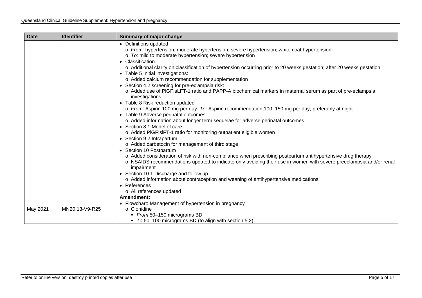| <b>Date</b> | <b>Identifier</b> | <b>Summary of major change</b>                                                                                                                                                                                                                                                                                                                                                                                                                                                                                                                                                                                                                                                                                                                                                                                                                                                                                                                                                                                                                                                                                                                                                                                                                                                                                                                                                                                                                                                                                                          |
|-------------|-------------------|-----------------------------------------------------------------------------------------------------------------------------------------------------------------------------------------------------------------------------------------------------------------------------------------------------------------------------------------------------------------------------------------------------------------------------------------------------------------------------------------------------------------------------------------------------------------------------------------------------------------------------------------------------------------------------------------------------------------------------------------------------------------------------------------------------------------------------------------------------------------------------------------------------------------------------------------------------------------------------------------------------------------------------------------------------------------------------------------------------------------------------------------------------------------------------------------------------------------------------------------------------------------------------------------------------------------------------------------------------------------------------------------------------------------------------------------------------------------------------------------------------------------------------------------|
|             |                   | • Definitions updated<br>o From: hypertension; moderate hypertension; severe hypertension; white coat hypertension<br>$\circ$ To: mild to moderate hypertension; severe hypertension<br>• Classification<br>o Additional clarity on classification of hypertension occurring prior to 20 weeks gestation; after 20 weeks gestation<br>• Table 5 Initial investigations:<br>o Added calcium recommendation for supplementation<br>• Section 4.2 screening for pre-eclampsia risk:<br>o Added use of PIGF:sLFT-1 ratio and PAPP-A biochemical markers in maternal serum as part of pre-eclampsia<br>investigations<br>• Table 8 Risk reduction updated<br>o From: Aspirin 100 mg per day: To: Aspirin recommendation 100-150 mg per day, preferably at night<br>• Table 9 Adverse perinatal outcomes:<br>o Added information about longer term sequelae for adverse perinatal outcomes<br>• Section 8.1 Model of care<br>o Added PIGF:sIFT-1 ratio for monitoring outpatient eligible women<br>• Section 9.2 Intrapartum:<br>o Added carbetocin for management of third stage<br>• Section 10 Postpartum<br>o Added consideration of risk with non-compliance when prescribing postpartum antihypertensive drug therapy<br>o NSAIDS recommendations updated to indicate only avoiding their use in women with severe preeclampsia and/or renal<br>impairment<br>• Section 10.1 Discharge and follow up<br>o Added information about contraception and weaning of antihypertensive medications<br>• References<br>o All references updated |
|             |                   | Amendment:                                                                                                                                                                                                                                                                                                                                                                                                                                                                                                                                                                                                                                                                                                                                                                                                                                                                                                                                                                                                                                                                                                                                                                                                                                                                                                                                                                                                                                                                                                                              |
| May 2021    | MN20.13-V9-R25    | • Flowchart: Management of hypertension in pregnancy<br>○ Clonidine                                                                                                                                                                                                                                                                                                                                                                                                                                                                                                                                                                                                                                                                                                                                                                                                                                                                                                                                                                                                                                                                                                                                                                                                                                                                                                                                                                                                                                                                     |
|             |                   | From 50-150 micrograms BD                                                                                                                                                                                                                                                                                                                                                                                                                                                                                                                                                                                                                                                                                                                                                                                                                                                                                                                                                                                                                                                                                                                                                                                                                                                                                                                                                                                                                                                                                                               |
|             |                   | • To 50-100 micrograms BD (to align with section 5.2)                                                                                                                                                                                                                                                                                                                                                                                                                                                                                                                                                                                                                                                                                                                                                                                                                                                                                                                                                                                                                                                                                                                                                                                                                                                                                                                                                                                                                                                                                   |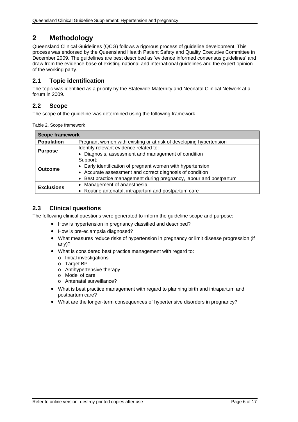## <span id="page-5-0"></span>**2 Methodology**

Queensland Clinical Guidelines (QCG) follows a rigorous process of guideline development. This process was endorsed by the Queensland Health Patient Safety and Quality Executive Committee in December 2009. The guidelines are best described as 'evidence informed consensus guidelines' and draw from the evidence base of existing national and international guidelines and the expert opinion of the working party.

### <span id="page-5-1"></span>**2.1 Topic identification**

The topic was identified as a priority by the Statewide Maternity and Neonatal Clinical Network at a forum in 2009.

#### <span id="page-5-2"></span>**2.2 Scope**

<span id="page-5-4"></span>The scope of the guideline was determined using the following framework.

Table 2. Scope framework

| <b>Scope framework</b>                                                                  |                                                                                                                                                                                                        |  |  |
|-----------------------------------------------------------------------------------------|--------------------------------------------------------------------------------------------------------------------------------------------------------------------------------------------------------|--|--|
| <b>Population</b><br>Pregnant women with existing or at risk of developing hypertension |                                                                                                                                                                                                        |  |  |
| <b>Purpose</b>                                                                          | Identify relevant evidence related to:                                                                                                                                                                 |  |  |
|                                                                                         | • Diagnosis, assessment and management of condition                                                                                                                                                    |  |  |
| <b>Outcome</b>                                                                          | Support:<br>• Early identification of pregnant women with hypertension<br>• Accurate assessment and correct diagnosis of condition<br>Best practice management during pregnancy, labour and postpartum |  |  |
| <b>Exclusions</b>                                                                       | • Management of anaesthesia<br>• Routine antenatal, intrapartum and postpartum care                                                                                                                    |  |  |

### <span id="page-5-3"></span>**2.3 Clinical questions**

The following clinical questions were generated to inform the guideline scope and purpose:

- How is hypertension in pregnancy classified and described?
- How is pre-eclampsia diagnosed?
- What measures reduce risks of hypertension in pregnancy or limit disease progression (if any)?
- What is considered best practice management with regard to:
	- o Initial investigations
	- o Target BP
	- o Antihypertensive therapy
	- o Model of care
	- o Antenatal surveillance?
- What is best practice management with regard to planning birth and intrapartum and postpartum care?
- What are the longer-term consequences of hypertensive disorders in pregnancy?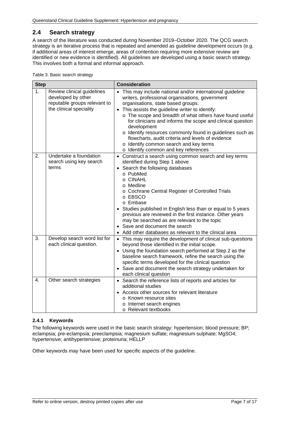## <span id="page-6-0"></span>**2.4 Search strategy**

A search of the literature was conducted during November 2019–October 2020. The QCG search strategy is an iterative process that is repeated and amended as guideline development occurs (e.g. if additional areas of interest emerge, areas of contention requiring more extensive review are identified or new evidence is identified). All guidelines are developed using a basic search strategy. This involves both a formal and informal approach.

<span id="page-6-2"></span>Table 3. Basic search strategy

| <b>Step</b>    |                                                                                                             | <b>Consideration</b>                                                                                                                                                                                                                                                                                                                                                                                                                                                                                                                                 |  |  |
|----------------|-------------------------------------------------------------------------------------------------------------|------------------------------------------------------------------------------------------------------------------------------------------------------------------------------------------------------------------------------------------------------------------------------------------------------------------------------------------------------------------------------------------------------------------------------------------------------------------------------------------------------------------------------------------------------|--|--|
| 1 <sub>1</sub> | Review clinical guidelines<br>developed by other<br>reputable groups relevant to<br>the clinical speciality | • This may include national and/or international guideline<br>writers, professional organisations, government<br>organisations, state based groups.<br>• This assists the guideline writer to identify:<br>o The scope and breadth of what others have found useful<br>for clinicians and informs the scope and clinical question<br>development<br>o Identify resources commonly found in guidelines such as<br>flowcharts, audit criteria and levels of evidence<br>o Identify common search and key terms<br>o Identify common and key references |  |  |
| 2.             | Undertake a foundation<br>search using key search<br>terms                                                  | • Construct a search using common search and key terms<br>identified during Step 1 above<br>Search the following databases<br>$\bullet$<br>o PubMed<br>o CINAHL<br>o Medline<br>o Cochrane Central Register of Controlled Trials<br>o EBSCO<br>o Embase<br>Studies published in English less than or equal to 5 years<br>previous are reviewed in the first instance. Other years<br>may be searched as are relevant to the topic<br>• Save and document the search<br>Add other databases as relevant to the clinical area                          |  |  |
| 3.             | Develop search word list for<br>each clinical question.                                                     | • This may require the development of clinical sub-questions<br>beyond those identified in the initial scope.<br>• Using the foundation search performed at Step 2 as the<br>baseline search framework, refine the search using the<br>specific terms developed for the clinical question<br>• Save and document the search strategy undertaken for<br>each clinical question                                                                                                                                                                        |  |  |
| 4.             | Other search strategies                                                                                     | • Search the reference lists of reports and articles for<br>additional studies<br>Access other sources for relevant literature<br>o Known resource sites<br>o Internet search engines<br>o Relevant textbooks                                                                                                                                                                                                                                                                                                                                        |  |  |

#### <span id="page-6-1"></span>**2.4.1 Keywords**

The following keywords were used in the basic search strategy: hypertension; blood pressure; BP; eclampsia; pre-eclampsia; preeclampsia; magnesium sulfate; magnesium sulphate; MgSO4; hypertensive; antihypertensive; proteinuria; HELLP

Other keywords may have been used for specific aspects of the guideline.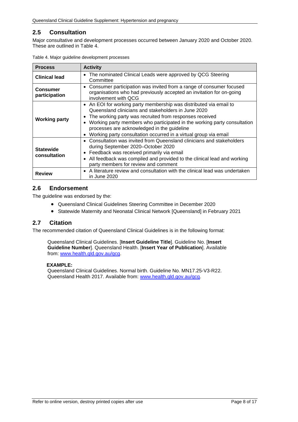## <span id="page-7-0"></span>**2.5 Consultation**

Major consultative and development processes occurred between January 2020 and October 2020. These are outlined in [Table 4.](#page-7-3)

| <b>Process</b>                   | <b>Activity</b>                                                                                                                                                                                                                                                                                                                                                                                  |
|----------------------------------|--------------------------------------------------------------------------------------------------------------------------------------------------------------------------------------------------------------------------------------------------------------------------------------------------------------------------------------------------------------------------------------------------|
| <b>Clinical lead</b>             | The nominated Clinical Leads were approved by QCG Steering<br>$\bullet$<br>Committee                                                                                                                                                                                                                                                                                                             |
| <b>Consumer</b><br>participation | • Consumer participation was invited from a range of consumer focused<br>organisations who had previously accepted an invitation for on-going<br>involvement with OCG                                                                                                                                                                                                                            |
| <b>Working party</b>             | • An EOI for working party membership was distributed via email to<br>Queensland clinicians and stakeholders in June 2020<br>The working party was recruited from responses received<br>Working party members who participated in the working party consultation<br>processes are acknowledged in the guideline<br>Working party consultation occurred in a virtual group via email<br>$\bullet$ |
| <b>Statewide</b><br>consultation | Consultation was invited from Queensland clinicians and stakeholders<br>$\bullet$<br>during September 2020-October 2020<br>Feedback was received primarily via email<br>$\bullet$<br>All feedback was compiled and provided to the clinical lead and working<br>$\bullet$<br>party members for review and comment                                                                                |
| <b>Review</b>                    | A literature review and consultation with the clinical lead was undertaken<br>in June 2020                                                                                                                                                                                                                                                                                                       |

<span id="page-7-3"></span>

#### <span id="page-7-1"></span>**2.6 Endorsement**

The guideline was endorsed by the:

- Queensland Clinical Guidelines Steering Committee in December 2020
- Statewide Maternity and Neonatal Clinical Network [Queensland] in February 2021

#### <span id="page-7-2"></span>**2.7 Citation**

The recommended citation of Queensland Clinical Guidelines is in the following format:

Queensland Clinical Guidelines. [**Insert Guideline Title**]. Guideline No. [**Insert Guideline Number**]. Queensland Health. [**Insert Year of Publication**]. Available from: [www.health.qld.gov.au/qcg.](http://www.health.qld.gov.au/qcg)

#### **EXAMPLE:**

Queensland Clinical Guidelines. Normal birth. Guideline No. MN17.25-V3-R22. Queensland Health 2017. Available from: [www.health.qld.gov.au/qcg.](http://www.health.qld.gov.au/qcg)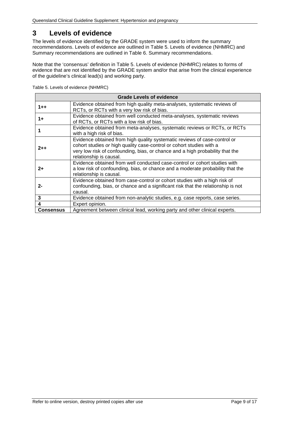## <span id="page-8-0"></span>**3 Levels of evidence**

<span id="page-8-2"></span>The levels of evidence identified by the GRADE system were used to inform the summary recommendations. Levels of evidence are outlined in [Table 5. Levels of evidence \(NHMRC\)](#page-8-1) and Summary recommendations are outlined in [Table 6. Summary recommendations.](#page-9-1)

Note that the 'consensus' definition in [Table 5. Levels of evidence \(NHMRC\)](#page-8-1) relates to forms of evidence that are not identified by the GRADE system and/or that arise from the clinical experience of the guideline's clinical lead(s) and working party.

<span id="page-8-1"></span>

| Table 5. Levels of evidence (NHMRC) |  |
|-------------------------------------|--|
|-------------------------------------|--|

| <b>Grade Levels of evidence</b>                                                                                                                                                                                                                                          |                                                                                                                                                                          |  |  |
|--------------------------------------------------------------------------------------------------------------------------------------------------------------------------------------------------------------------------------------------------------------------------|--------------------------------------------------------------------------------------------------------------------------------------------------------------------------|--|--|
| $1 + +$                                                                                                                                                                                                                                                                  | Evidence obtained from high quality meta-analyses, systematic reviews of<br>RCTs, or RCTs with a very low risk of bias.                                                  |  |  |
| $1+$                                                                                                                                                                                                                                                                     | Evidence obtained from well conducted meta-analyses, systematic reviews<br>of RCTs, or RCTs with a low risk of bias.                                                     |  |  |
| Evidence obtained from meta-analyses, systematic reviews or RCTs, or RCTs<br>with a high risk of bias.                                                                                                                                                                   |                                                                                                                                                                          |  |  |
| Evidence obtained from high quality systematic reviews of case-control or<br>cohort studies or high quality case-control or cohort studies with a<br>$2 + +$<br>very low risk of confounding, bias, or chance and a high probability that the<br>relationship is causal. |                                                                                                                                                                          |  |  |
| Evidence obtained from well conducted case-control or cohort studies with<br>a low risk of confounding, bias, or chance and a moderate probability that the<br>$2+$<br>relationship is causal.                                                                           |                                                                                                                                                                          |  |  |
| 2-                                                                                                                                                                                                                                                                       | Evidence obtained from case-control or cohort studies with a high risk of<br>confounding, bias, or chance and a significant risk that the relationship is not<br>causal. |  |  |
| 3                                                                                                                                                                                                                                                                        | Evidence obtained from non-analytic studies, e.g. case reports, case series.                                                                                             |  |  |
| 4                                                                                                                                                                                                                                                                        | Expert opinion.                                                                                                                                                          |  |  |
| <b>Consensus</b>                                                                                                                                                                                                                                                         | Agreement between clinical lead, working party and other clinical experts.                                                                                               |  |  |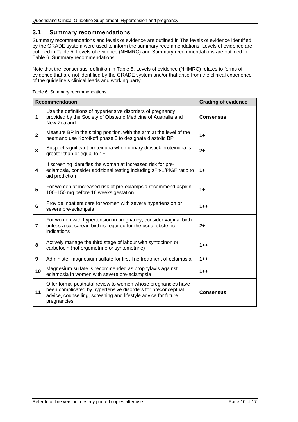#### <span id="page-9-0"></span>**3.1 Summary recommendations**

Summary recommendations and levels of evidence are outlined in [The levels of evidence identified](#page-8-2)  [by the GRADE system were used to inform the summary recommendations. Levels of evidence are](#page-8-2)  [outlined in Table 5. Levels of evidence \(NHMRC\)](#page-8-2) and Summary recommendations are outlined in [Table 6. Summary recommendations.](#page-9-1)

Note that the 'consensus' definition in [Table 5. Levels of evidence \(NHMRC\)](#page-8-2) relates to forms of [evidence that are not identified by the GRADE system and/or that arise from the clinical experience](#page-8-2)  [of the guideline's clinical leads](#page-8-2) and working party.

|                | <b>Recommendation</b><br><b>Grading of evidence</b>                                                                                                                                                            |                  |  |
|----------------|----------------------------------------------------------------------------------------------------------------------------------------------------------------------------------------------------------------|------------------|--|
| 1              | Use the definitions of hypertensive disorders of pregnancy<br>provided by the Society of Obstetric Medicine of Australia and<br>New Zealand                                                                    | <b>Consensus</b> |  |
| $\mathbf{2}$   | Measure BP in the sitting position, with the arm at the level of the<br>heart and use Korotkoff phase 5 to designate diastolic BP                                                                              | $1+$             |  |
| 3              | Suspect significant proteinuria when urinary dipstick proteinuria is<br>greater than or equal to 1+                                                                                                            | $2+$             |  |
| 4              | If screening identifies the woman at increased risk for pre-<br>eclampsia, consider additional testing including sFIt-1/PIGF ratio to<br>aid prediction                                                        | $1+$             |  |
| 5              | For women at increased risk of pre-eclampsia recommend aspirin<br>100-150 mg before 16 weeks gestation.                                                                                                        | $1+$             |  |
| 6              | Provide inpatient care for women with severe hypertension or<br>severe pre-eclampsia                                                                                                                           | $1 + +$          |  |
| $\overline{7}$ | For women with hypertension in pregnancy, consider vaginal birth<br>unless a caesarean birth is required for the usual obstetric<br>indications                                                                | $2+$             |  |
| 8              | Actively manage the third stage of labour with syntocinon or<br>carbetocin (not ergometrine or syntometrine)                                                                                                   | $1 + +$          |  |
| 9              | Administer magnesium sulfate for first-line treatment of eclampsia                                                                                                                                             | $1 + +$          |  |
| 10             | Magnesium sulfate is recommended as prophylaxis against<br>eclampsia in women with severe pre-eclampsia                                                                                                        | $1 + +$          |  |
| 11             | Offer formal postnatal review to women whose pregnancies have<br>been complicated by hypertensive disorders for preconceptual<br>advice, counselling, screening and lifestyle advice for future<br>pregnancies | <b>Consensus</b> |  |

<span id="page-9-1"></span>Table 6. Summary recommendations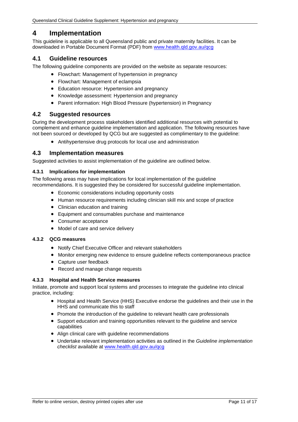## <span id="page-10-0"></span>**4 Implementation**

This guideline is applicable to all Queensland public and private maternity facilities. It can be downloaded in Portable Document Format (PDF) from [www.health.qld.gov.au/qcg](http://www.health.qld.gov.au/qcg)

#### <span id="page-10-1"></span>**4.1 Guideline resources**

The following guideline components are provided on the website as separate resources:

- Flowchart: Management of hypertension in pregnancy
- Flowchart: Management of eclampsia
- Education resource: Hypertension and pregnancy
- Knowledge assessment: Hypertension and pregnancy
- Parent information: High Blood Pressure (hypertension) in Pregnancy

#### <span id="page-10-2"></span>**4.2 Suggested resources**

During the development process stakeholders identified additional resources with potential to complement and enhance guideline implementation and application. The following resources have not been sourced or developed by QCG but are suggested as complimentary to the guideline:

• Antihypertensive drug protocols for local use and administration

#### <span id="page-10-3"></span>**4.3 Implementation measures**

Suggested activities to assist implementation of the guideline are outlined below.

#### <span id="page-10-4"></span>**4.3.1 Implications for implementation**

The following areas may have implications for local implementation of the guideline recommendations. It is suggested they be considered for successful quideline implementation.

- Economic considerations including opportunity costs
- Human resource requirements including clinician skill mix and scope of practice
- Clinician education and training
- Equipment and consumables purchase and maintenance
- Consumer acceptance
- Model of care and service delivery

#### <span id="page-10-5"></span>**4.3.2 QCG measures**

- Notify Chief Executive Officer and relevant stakeholders
- Monitor emerging new evidence to ensure guideline reflects contemporaneous practice
- Capture user feedback
- Record and manage change requests

#### <span id="page-10-6"></span>**4.3.3 Hospital and Health Service measures**

Initiate, promote and support local systems and processes to integrate the guideline into clinical practice, including:

- Hospital and Health Service (HHS) Executive endorse the guidelines and their use in the HHS and communicate this to staff
- Promote the introduction of the guideline to relevant health care professionals
- Support education and training opportunities relevant to the guideline and service capabilities
- Align clinical care with guideline recommendations
- Undertake relevant implementation activities as outlined in the *Guideline implementation checklist* available at [www.health.qld.gov.au/qcg](http://www.health.qld.gov.au/qcg)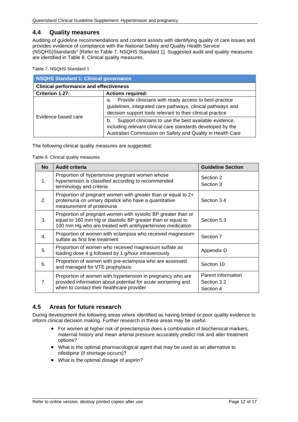#### <span id="page-11-0"></span>**4.4 Quality measures**

Auditing of guideline recommendations and content assists with identifying quality of care issues and provides evidence of compliance with the National Safety and Quality Health Service (NSQHS)Standards1 [Refer to Table 7. [NSQHS Standard 1\]](#page-11-2). Suggested audit and quality measures are identified in [Table 8. Clinical quality measures.](#page-11-3)

<span id="page-11-2"></span>Table 7. NSQHS Standard 1

| NSQHS Standard 1: Clinical governance         |                                                                                                                                                                                           |  |
|-----------------------------------------------|-------------------------------------------------------------------------------------------------------------------------------------------------------------------------------------------|--|
| <b>Clinical performance and effectiveness</b> |                                                                                                                                                                                           |  |
| Criterion 1.27:                               | <b>Actions required:</b>                                                                                                                                                                  |  |
|                                               | Provide clinicians with ready access to best-practice<br>a.<br>guidelines, integrated care pathways, clinical pathways and<br>decision support tools relevant to their clinical practice  |  |
| Evidence based care                           | Support clinicians to use the best available evidence,<br>b.<br>including relevant clinical care standards developed by the<br>Australian Commission on Safety and Quality in Health Care |  |

<span id="page-11-3"></span>The following clinical quality measures are suggested:

Table 8. Clinical quality measures

| <b>No</b>      | <b>Audit criteria</b>                                                                                                                                                                      | <b>Guideline Section</b>                       |
|----------------|--------------------------------------------------------------------------------------------------------------------------------------------------------------------------------------------|------------------------------------------------|
| 1 <sub>1</sub> | Proportion of hypertensive pregnant women whose<br>hypertension is classified according to recommended<br>terminology and criteria                                                         | Section 2<br>Section 3                         |
| 2.             | Proportion of pregnant women with greater than or equal to 2+<br>proteinuria on urinary dipstick who have a quantitative<br>measurement of proteinuria                                     | Section 3.4                                    |
| 3.             | Proportion of pregnant women with systolic BP greater than or<br>equal to 160 mm Hg or diastolic BP greater than or equal to<br>100 mm Hg who are treated with antihypertensive medication | Section 5.3                                    |
| $\mathbf{4}$ . | Proportion of women with eclampsia who received magnesium<br>sulfate as first line treatment                                                                                               | Section 7                                      |
| 5.             | Proportion of women who received magnesium sulfate as<br>loading dose 4 g followed by 1 g/hour intravenously                                                                               | Appendix D                                     |
| 6.             | Proportion of women with pre-eclampsia who are assessed<br>and managed for VTE prophylaxis                                                                                                 | Section 10                                     |
| 7 <sub>1</sub> | Proportion of women with hypertension in pregnancy who are<br>provided information about potential for acute worsening and<br>when to contact their healthcare provider                    | Parent information<br>Section 3.2<br>Section 4 |

## <span id="page-11-1"></span>**4.5 Areas for future research**

During development the following areas where identified as having limited or poor quality evidence to inform clinical decision making. Further research in these areas may be useful.

- For women at higher risk of preeclampsia does a combination of biochemical markers, maternal history and mean arterial pressure accurately predict risk and alter treatment options?
- What is the optimal pharmacological agent that may be used as an alternative to nifedipine (if shortage occurs)?
- What is the optimal dosage of aspirin?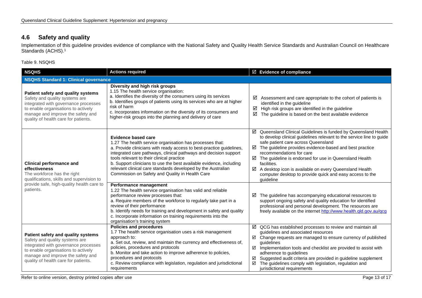## **4.6 Safety and quality**

Implementation of this guideline provides evidence of compliance with the National Safety and Quality Health Service Standards and Australian Council on Healthcare Standards (ACHS). 1

Table 9. NSQHS

<span id="page-12-1"></span><span id="page-12-0"></span>

| <b>NSQHS</b>                                                                                                                                                                                                                     | <b>Actions required</b>                                                                                                                                                                                                                                                                                                                                                                                                                                                   | ☑ Evidence of compliance                                                                                                                                                                                                                                                                                                                                                                                                                                                                             |  |  |  |  |
|----------------------------------------------------------------------------------------------------------------------------------------------------------------------------------------------------------------------------------|---------------------------------------------------------------------------------------------------------------------------------------------------------------------------------------------------------------------------------------------------------------------------------------------------------------------------------------------------------------------------------------------------------------------------------------------------------------------------|------------------------------------------------------------------------------------------------------------------------------------------------------------------------------------------------------------------------------------------------------------------------------------------------------------------------------------------------------------------------------------------------------------------------------------------------------------------------------------------------------|--|--|--|--|
| <b>NSQHS Standard 1: Clinical governance</b>                                                                                                                                                                                     |                                                                                                                                                                                                                                                                                                                                                                                                                                                                           |                                                                                                                                                                                                                                                                                                                                                                                                                                                                                                      |  |  |  |  |
| Patient safety and quality systems<br>Safety and quality systems are<br>integrated with governance processes<br>to enable organisations to actively<br>manage and improve the safety and<br>quality of health care for patients. | Diversity and high risk groups<br>1.15 The health service organisation:<br>a. Identifies the diversity of the consumers using its services<br>b. Identifies groups of patients using its services who are at higher<br>risk of harm<br>c. Incorporates information on the diversity of its consumers and<br>higher-risk groups into the planning and delivery of care                                                                                                     | ☑<br>Assessment and care appropriate to the cohort of patients is<br>identified in the guideline<br>High risk groups are identified in the guideline<br>☑<br>☑<br>The guideline is based on the best available evidence                                                                                                                                                                                                                                                                              |  |  |  |  |
| <b>Clinical performance and</b><br>effectiveness<br>The workforce has the right<br>qualifications, skills and supervision to                                                                                                     | <b>Evidence based care</b><br>1.27 The health service organisation has processes that:<br>a. Provide clinicians with ready access to best-practice guidelines,<br>integrated care pathways, clinical pathways and decision support<br>tools relevant to their clinical practice<br>b. Support clinicians to use the best available evidence, including<br>relevant clinical care standards developed by the Australian<br>Commission on Safety and Quality in Health Care | ☑ Queensland Clinical Guidelines is funded by Queensland Health<br>to develop clinical guidelines relevant to the service line to guide<br>safe patient care across Queensland<br>The guideline provides evidence-based and best practice<br>☑<br>recommendations for care<br>$\boxtimes$ The guideline is endorsed for use in Queensland Health<br>facilities.<br>☑ A desktop icon is available on every Queensland Health<br>computer desktop to provide quick and easy access to the<br>guideline |  |  |  |  |
| provide safe, high-quality health care to<br>patients.                                                                                                                                                                           | Performance management<br>1.22 The health service organisation has valid and reliable<br>performance review processes that:<br>a. Require members of the workforce to regularly take part in a<br>review of their performance<br>b. Identify needs for training and development in safety and quality<br>c. Incorporate information on training requirements into the<br>organisation's training system                                                                   | The guideline has accompanying educational resources to<br>☑<br>support ongoing safety and quality education for identified<br>professional and personal development. The resources are<br>freely available on the internet http://www.health.qld.gov.au/qcg                                                                                                                                                                                                                                         |  |  |  |  |
| Patient safety and quality systems<br>Safety and quality systems are<br>integrated with governance processes<br>to enable organisations to actively<br>manage and improve the safety and<br>quality of health care for patients. | <b>Policies and procedures</b><br>1.7 The health service organisation uses a risk management<br>approach to:<br>a. Set out, review, and maintain the currency and effectiveness of,<br>policies, procedures and protocols<br>b. Monitor and take action to improve adherence to policies,<br>procedures and protocols<br>c. Review compliance with legislation, regulation and jurisdictional<br>requirements                                                             | $\boxtimes$ QCG has established processes to review and maintain all<br>guidelines and associated resources<br>☑ Change requests are managed to ensure currency of published<br>quidelines<br>$\boxtimes$ Implementation tools and checklist are provided to assist with<br>adherence to guidelines<br>Suggested audit criteria are provided in guideline supplement<br>☑<br>The guidelines comply with legislation, regulation and<br>☑<br>jurisdictional requirements                              |  |  |  |  |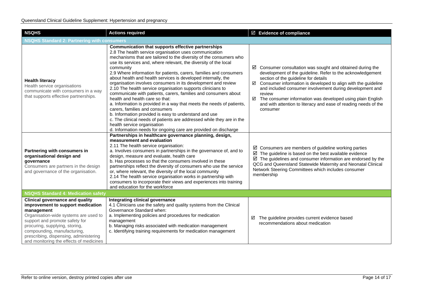| <b>NSQHS</b>                                                                                                                                                                                                                                                                                                               | <b>Actions required</b>                                                                                                                                                                                                                                                                                                                                                                                                                                                                                                                                                                                                                                                                                                                                                                                                                                                                                                                                                                         | $\boxtimes$ Evidence of compliance                                                                                                                                                                                                                                                                                                                                                                                                                                           |  |  |  |  |
|----------------------------------------------------------------------------------------------------------------------------------------------------------------------------------------------------------------------------------------------------------------------------------------------------------------------------|-------------------------------------------------------------------------------------------------------------------------------------------------------------------------------------------------------------------------------------------------------------------------------------------------------------------------------------------------------------------------------------------------------------------------------------------------------------------------------------------------------------------------------------------------------------------------------------------------------------------------------------------------------------------------------------------------------------------------------------------------------------------------------------------------------------------------------------------------------------------------------------------------------------------------------------------------------------------------------------------------|------------------------------------------------------------------------------------------------------------------------------------------------------------------------------------------------------------------------------------------------------------------------------------------------------------------------------------------------------------------------------------------------------------------------------------------------------------------------------|--|--|--|--|
| <b>NSQHS Standard 2: Partnering with consumers</b>                                                                                                                                                                                                                                                                         |                                                                                                                                                                                                                                                                                                                                                                                                                                                                                                                                                                                                                                                                                                                                                                                                                                                                                                                                                                                                 |                                                                                                                                                                                                                                                                                                                                                                                                                                                                              |  |  |  |  |
| <b>Health literacy</b><br>Health service organisations<br>communicate with consumers in a way<br>that supports effective partnerships.                                                                                                                                                                                     | Communication that supports effective partnerships<br>2.8 The health service organisation uses communication<br>mechanisms that are tailored to the diversity of the consumers who<br>use its services and, where relevant, the diversity of the local<br>community<br>2.9 Where information for patients, carers, families and consumers<br>about health and health services is developed internally, the<br>organisation involves consumers in its development and review<br>2.10 The health service organisation supports clinicians to<br>communicate with patients, carers, families and consumers about<br>health and health care so that:<br>a. Information is provided in a way that meets the needs of patients,<br>carers, families and consumers<br>b. Information provided is easy to understand and use<br>c. The clinical needs of patients are addressed while they are in the<br>health service organisation<br>d. Information needs for ongoing care are provided on discharge | $\boxtimes$ Consumer consultation was sought and obtained during the<br>development of the guideline. Refer to the acknowledgement<br>section of the guideline for details<br>$\boxtimes$ Consumer information is developed to align with the guideline<br>and included consumer involvement during development and<br>review<br>☑ The consumer information was developed using plain English<br>and with attention to literacy and ease of reading needs of the<br>consumer |  |  |  |  |
| Partnering with consumers in<br>organisational design and<br>governance<br>Consumers are partners in the design<br>and governance of the organisation.                                                                                                                                                                     | Partnerships in healthcare governance planning, design,<br>measurement and evaluation<br>2.11 The health service organisation:<br>a. Involves consumers in partnerships in the governance of, and to<br>design, measure and evaluate, health care<br>b. Has processes so that the consumers involved in these<br>partnerships reflect the diversity of consumers who use the service<br>or, where relevant, the diversity of the local community<br>2.14 The health service organisation works in partnership with<br>consumers to incorporate their views and experiences into training<br>and education for the workforce                                                                                                                                                                                                                                                                                                                                                                     | $\boxtimes$ Consumers are members of guideline working parties<br>$\boxtimes$ The guideline is based on the best available evidence<br>$\boxtimes$ The guidelines and consumer information are endorsed by the<br>QCG and Queensland Statewide Maternity and Neonatal Clinical<br>Network Steering Committees which includes consumer<br>membership                                                                                                                          |  |  |  |  |
| <b>NSQHS Standard 4: Medication safety</b>                                                                                                                                                                                                                                                                                 |                                                                                                                                                                                                                                                                                                                                                                                                                                                                                                                                                                                                                                                                                                                                                                                                                                                                                                                                                                                                 |                                                                                                                                                                                                                                                                                                                                                                                                                                                                              |  |  |  |  |
| <b>Clinical governance and quality</b><br>improvement to support medication<br>management<br>Organisation-wide systems are used to<br>support and promote safety for<br>procuring, supplying, storing,<br>compounding, manufacturing,<br>prescribing, dispensing, administering<br>and monitoring the effects of medicines | Integrating clinical governance<br>4.1 Clinicians use the safety and quality systems from the Clinical<br>Governance Standard when:<br>a. Implementing policies and procedures for medication<br>management<br>b. Managing risks associated with medication management<br>c. Identifying training requirements for medication management                                                                                                                                                                                                                                                                                                                                                                                                                                                                                                                                                                                                                                                        | The guideline provides current evidence based<br>☑<br>recommendations about medication                                                                                                                                                                                                                                                                                                                                                                                       |  |  |  |  |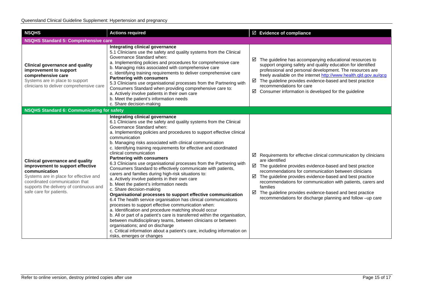| <b>NSQHS</b>                                                                                                                                                                                                                                  | <b>Actions required</b>                                                                                                                                                                                                                                                                                                                                                                                                                                                                                                                                                                                                                                                                                                                                                                                                                                                                                                                                                                                                                                                                                                                                                                                                                                                                            | ☑ Evidence of compliance                                                                                                                                                                                                                                                                                                                                                                                                                                                                                     |
|-----------------------------------------------------------------------------------------------------------------------------------------------------------------------------------------------------------------------------------------------|----------------------------------------------------------------------------------------------------------------------------------------------------------------------------------------------------------------------------------------------------------------------------------------------------------------------------------------------------------------------------------------------------------------------------------------------------------------------------------------------------------------------------------------------------------------------------------------------------------------------------------------------------------------------------------------------------------------------------------------------------------------------------------------------------------------------------------------------------------------------------------------------------------------------------------------------------------------------------------------------------------------------------------------------------------------------------------------------------------------------------------------------------------------------------------------------------------------------------------------------------------------------------------------------------|--------------------------------------------------------------------------------------------------------------------------------------------------------------------------------------------------------------------------------------------------------------------------------------------------------------------------------------------------------------------------------------------------------------------------------------------------------------------------------------------------------------|
| <b>NSQHS Standard 5: Comprehensive care</b>                                                                                                                                                                                                   |                                                                                                                                                                                                                                                                                                                                                                                                                                                                                                                                                                                                                                                                                                                                                                                                                                                                                                                                                                                                                                                                                                                                                                                                                                                                                                    |                                                                                                                                                                                                                                                                                                                                                                                                                                                                                                              |
| <b>Clinical governance and quality</b><br>improvement to support<br>comprehensive care<br>Systems are in place to support<br>clinicians to deliver comprehensive care                                                                         | Integrating clinical governance<br>5.1 Clinicians use the safety and quality systems from the Clinical<br>Governance Standard when:<br>a. Implementing policies and procedures for comprehensive care<br>b. Managing risks associated with comprehensive care<br>c. Identifying training requirements to deliver comprehensive care<br><b>Partnering with consumers</b><br>5.3 Clinicians use organisational processes from the Partnering with<br>Consumers Standard when providing comprehensive care to:<br>a. Actively involve patients in their own care<br>b. Meet the patient's information needs<br>c. Share decision-making                                                                                                                                                                                                                                                                                                                                                                                                                                                                                                                                                                                                                                                               | $\boxtimes$ The guideline has accompanying educational resources to<br>support ongoing safety and quality education for identified<br>professional and personal development. The resources are<br>freely available on the internet http://www.health.qld.gov.au/qcg<br>$\boxtimes$ The guideline provides evidence-based and best practice<br>recommendations for care<br>$\boxtimes$ Consumer information is developed for the guideline                                                                    |
| <b>NSQHS Standard 6: Communicating for safety</b>                                                                                                                                                                                             |                                                                                                                                                                                                                                                                                                                                                                                                                                                                                                                                                                                                                                                                                                                                                                                                                                                                                                                                                                                                                                                                                                                                                                                                                                                                                                    |                                                                                                                                                                                                                                                                                                                                                                                                                                                                                                              |
| <b>Clinical governance and quality</b><br>improvement to support effective<br>communication<br>Systems are in place for effective and<br>coordinated communication that<br>supports the delivery of continuous and<br>safe care for patients. | Integrating clinical governance<br>6.1 Clinicians use the safety and quality systems from the Clinical<br>Governance Standard when:<br>a. Implementing policies and procedures to support effective clinical<br>communication<br>b. Managing risks associated with clinical communication<br>c. Identifying training requirements for effective and coordinated<br>clinical communication<br><b>Partnering with consumers</b><br>6.3 Clinicians use organisational processes from the Partnering with<br>Consumers Standard to effectively communicate with patients,<br>carers and families during high-risk situations to:<br>a. Actively involve patients in their own care<br>b. Meet the patient's information needs<br>c. Share decision-making<br>Organisational processes to support effective communication<br>6.4 The health service organisation has clinical communications<br>processes to support effective communication when:<br>a. Identification and procedure matching should occur<br>b. All or part of a patient's care is transferred within the organisation,<br>between multidisciplinary teams, between clinicians or between<br>organisations; and on discharge<br>c. Critical information about a patient's care, including information on<br>risks, emerges or changes | $\boxtimes$ Requirements for effective clinical communication by clinicians<br>are identified<br>$\boxtimes$ The guideline provides evidence-based and best practice<br>recommendations for communication between clinicians<br>$\boxtimes$ The guideline provides evidence-based and best practice<br>recommendations for communication with patients, carers and<br>families<br>The guideline provides evidence-based and best practice<br>☑<br>recommendations for discharge planning and follow -up care |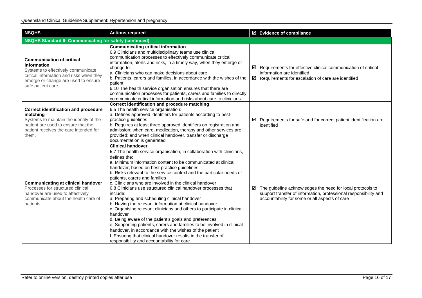| <b>NSQHS</b>                                                                                                                                                                                   | <b>Actions required</b>                                                                                                                                                                                                                                                                                                                                                                                                                                                                                                                                                                                                                                                                                                                                                                                                                                                                                                                                                                             |  | ☑ Evidence of compliance                                                                                                                                                           |  |  |  |
|------------------------------------------------------------------------------------------------------------------------------------------------------------------------------------------------|-----------------------------------------------------------------------------------------------------------------------------------------------------------------------------------------------------------------------------------------------------------------------------------------------------------------------------------------------------------------------------------------------------------------------------------------------------------------------------------------------------------------------------------------------------------------------------------------------------------------------------------------------------------------------------------------------------------------------------------------------------------------------------------------------------------------------------------------------------------------------------------------------------------------------------------------------------------------------------------------------------|--|------------------------------------------------------------------------------------------------------------------------------------------------------------------------------------|--|--|--|
| <b>NSQHS Standard 6: Communicating for safety (continued)</b>                                                                                                                                  |                                                                                                                                                                                                                                                                                                                                                                                                                                                                                                                                                                                                                                                                                                                                                                                                                                                                                                                                                                                                     |  |                                                                                                                                                                                    |  |  |  |
| <b>Communication of critical</b><br>information<br>Systems to effectively communicate<br>critical information and risks when they<br>emerge or change are used to ensure<br>safe patient care. | <b>Communicating critical information</b><br>6.9 Clinicians and multidisciplinary teams use clinical<br>communication processes to effectively communicate critical<br>information, alerts and risks, in a timely way, when they emerge or<br>change to:<br>a. Clinicians who can make decisions about care<br>b. Patients, carers and families, in accordance with the wishes of the<br>patient<br>6.10 The health service organisation ensures that there are<br>communication processes for patients, carers and families to directly<br>communicate critical information and risks about care to clinicians                                                                                                                                                                                                                                                                                                                                                                                     |  | $\boxtimes$ Requirements for effective clinical communication of critical<br>information are identified<br>$\boxtimes$ Requirements for escalation of care are identified          |  |  |  |
| <b>Correct identification and procedure</b><br>matching<br>Systems to maintain the identity of the<br>patient are used to ensure that the<br>patient receives the care intended for<br>them.   | Correct identification and procedure matching<br>6.5 The health service organisation:<br>a. Defines approved identifiers for patients according to best-<br>practice guidelines<br>b. Requires at least three approved identifiers on registration and<br>admission; when care, medication, therapy and other services are<br>provided; and when clinical handover, transfer or discharge<br>documentation is generated                                                                                                                                                                                                                                                                                                                                                                                                                                                                                                                                                                             |  | $\boxtimes$ Requirements for safe and for correct patient identification are<br>identified                                                                                         |  |  |  |
| <b>Communicating at clinical handover</b><br>Processes for structured clinical<br>handover are used to effectively<br>communicate about the health care of<br>patients.                        | <b>Clinical handover</b><br>6.7 The health service organisation, in collaboration with clinicians,<br>defines the:<br>a. Minimum information content to be communicated at clinical<br>handover, based on best-practice guidelines<br>b. Risks relevant to the service context and the particular needs of<br>patients, carers and families<br>c. Clinicians who are involved in the clinical handover<br>6.8 Clinicians use structured clinical handover processes that<br>include:<br>a. Preparing and scheduling clinical handover<br>b. Having the relevant information at clinical handover<br>c. Organising relevant clinicians and others to participate in clinical<br>handover<br>d. Being aware of the patient's goals and preferences<br>e. Supporting patients, carers and families to be involved in clinical<br>handover, in accordance with the wishes of the patient<br>f. Ensuring that clinical handover results in the transfer of<br>responsibility and accountability for care |  | ☑ The guideline acknowledges the need for local protocols to<br>support transfer of information, professional responsibility and<br>accountability for some or all aspects of care |  |  |  |